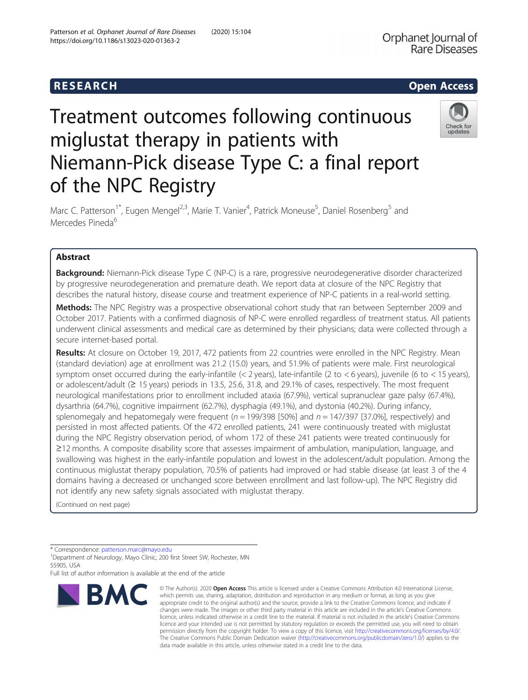Check for update:

# Treatment outcomes following continuous miglustat therapy in patients with Niemann-Pick disease Type C: a final report of the NPC Registry

Marc C. Patterson<sup>1\*</sup>, Eugen Mengel<sup>2,3</sup>, Marie T. Vanier<sup>4</sup>, Patrick Moneuse<sup>5</sup>, Daniel Rosenberg<sup>5</sup> and Mercedes Pineda<sup>6</sup>

# Abstract

Background: Niemann-Pick disease Type C (NP-C) is a rare, progressive neurodegenerative disorder characterized by progressive neurodegeneration and premature death. We report data at closure of the NPC Registry that describes the natural history, disease course and treatment experience of NP-C patients in a real-world setting.

**Methods:** The NPC Registry was a prospective observational cohort study that ran between September 2009 and October 2017. Patients with a confirmed diagnosis of NP-C were enrolled regardless of treatment status. All patients underwent clinical assessments and medical care as determined by their physicians; data were collected through a secure internet-based portal.

Results: At closure on October 19, 2017, 472 patients from 22 countries were enrolled in the NPC Registry. Mean (standard deviation) age at enrollment was 21.2 (15.0) years, and 51.9% of patients were male. First neurological symptom onset occurred during the early-infantile (< 2 years), late-infantile (2 to < 6 years), juvenile (6 to < 15 years), or adolescent/adult (≥ 15 years) periods in 13.5, 25.6, 31.8, and 29.1% of cases, respectively. The most frequent neurological manifestations prior to enrollment included ataxia (67.9%), vertical supranuclear gaze palsy (67.4%), dysarthria (64.7%), cognitive impairment (62.7%), dysphagia (49.1%), and dystonia (40.2%). During infancy, splenomegaly and hepatomegaly were frequent ( $n = 199/398$  [50%] and  $n = 147/397$  [37.0%], respectively) and persisted in most affected patients. Of the 472 enrolled patients, 241 were continuously treated with miglustat during the NPC Registry observation period, of whom 172 of these 241 patients were treated continuously for ≥12 months. A composite disability score that assesses impairment of ambulation, manipulation, language, and swallowing was highest in the early-infantile population and lowest in the adolescent/adult population. Among the continuous miglustat therapy population, 70.5% of patients had improved or had stable disease (at least 3 of the 4 domains having a decreased or unchanged score between enrollment and last follow-up). The NPC Registry did not identify any new safety signals associated with miglustat therapy.

(Continued on next page)

\* Correspondence: [patterson.marc@mayo.edu](mailto:patterson.marc@mayo.edu) <sup>1</sup>

<sup>1</sup>Department of Neurology, Mayo Clinic, 200 first Street SW, Rochester, MN 55905, USA

Full list of author information is available at the end of the article



<sup>©</sup> The Author(s), 2020 **Open Access** This article is licensed under a Creative Commons Attribution 4.0 International License, which permits use, sharing, adaptation, distribution and reproduction in any medium or format, as long as you give appropriate credit to the original author(s) and the source, provide a link to the Creative Commons licence, and indicate if changes were made. The images or other third party material in this article are included in the article's Creative Commons licence, unless indicated otherwise in a credit line to the material. If material is not included in the article's Creative Commons licence and your intended use is not permitted by statutory regulation or exceeds the permitted use, you will need to obtain permission directly from the copyright holder. To view a copy of this licence, visit [http://creativecommons.org/licenses/by/4.0/.](http://creativecommons.org/licenses/by/4.0/) The Creative Commons Public Domain Dedication waiver [\(http://creativecommons.org/publicdomain/zero/1.0/](http://creativecommons.org/publicdomain/zero/1.0/)) applies to the data made available in this article, unless otherwise stated in a credit line to the data.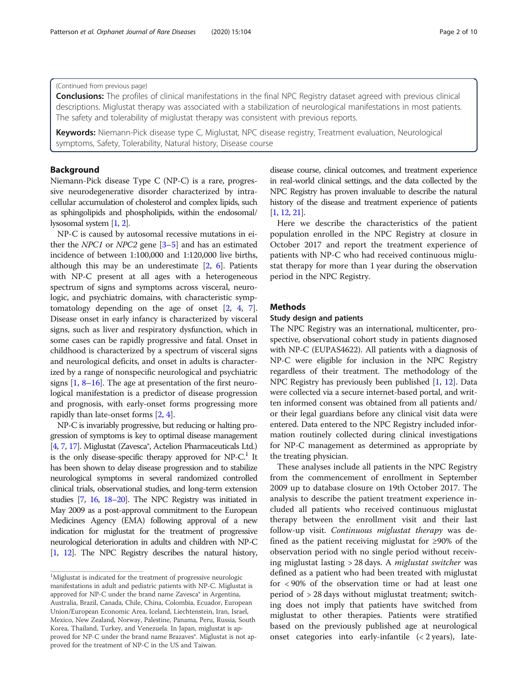### (Continued from previous page)

Conclusions: The profiles of clinical manifestations in the final NPC Registry dataset agreed with previous clinical descriptions. Miglustat therapy was associated with a stabilization of neurological manifestations in most patients. The safety and tolerability of miglustat therapy was consistent with previous reports.

Keywords: Niemann-Pick disease type C, Miglustat, NPC disease registry, Treatment evaluation, Neurological symptoms, Safety, Tolerability, Natural history, Disease course

# Background

Niemann-Pick disease Type C (NP-C) is a rare, progressive neurodegenerative disorder characterized by intracellular accumulation of cholesterol and complex lipids, such as sphingolipids and phospholipids, within the endosomal/ lysosomal system [\[1,](#page-9-0) [2\]](#page-9-0).

NP-C is caused by autosomal recessive mutations in either the NPC1 or NPC2 gene  $[3-5]$  $[3-5]$  $[3-5]$  $[3-5]$  $[3-5]$  and has an estimated incidence of between 1:100,000 and 1:120,000 live births, although this may be an underestimate  $[2, 6]$  $[2, 6]$  $[2, 6]$ . Patients with NP-C present at all ages with a heterogeneous spectrum of signs and symptoms across visceral, neurologic, and psychiatric domains, with characteristic symptomatology depending on the age of onset [[2](#page-9-0), [4](#page-9-0), [7](#page-9-0)]. Disease onset in early infancy is characterized by visceral signs, such as liver and respiratory dysfunction, which in some cases can be rapidly progressive and fatal. Onset in childhood is characterized by a spectrum of visceral signs and neurological deficits, and onset in adults is characterized by a range of nonspecific neurological and psychiatric signs [\[1](#page-9-0), [8](#page-9-0)–[16\]](#page-9-0). The age at presentation of the first neurological manifestation is a predictor of disease progression and prognosis, with early-onset forms progressing more rapidly than late-onset forms [[2,](#page-9-0) [4](#page-9-0)].

NP-C is invariably progressive, but reducing or halting progression of symptoms is key to optimal disease management [[4](#page-9-0), [7](#page-9-0), [17](#page-9-0)]. Miglustat (Zavesca®, Actelion Pharmaceuticals Ltd.) is the only disease-specific therapy approved for  $NP-C<sup>1</sup>$  It has been shown to delay disease progression and to stabilize neurological symptoms in several randomized controlled clinical trials, observational studies, and long-term extension studies [\[7,](#page-9-0) [16,](#page-9-0) [18](#page-9-0)–[20](#page-9-0)]. The NPC Registry was initiated in May 2009 as a post-approval commitment to the European Medicines Agency (EMA) following approval of a new indication for miglustat for the treatment of progressive neurological deterioration in adults and children with NP-C [[1](#page-9-0), [12\]](#page-9-0). The NPC Registry describes the natural history, disease course, clinical outcomes, and treatment experience in real-world clinical settings, and the data collected by the NPC Registry has proven invaluable to describe the natural history of the disease and treatment experience of patients [[1](#page-9-0), [12,](#page-9-0) [21\]](#page-9-0).

Here we describe the characteristics of the patient population enrolled in the NPC Registry at closure in October 2017 and report the treatment experience of patients with NP-C who had received continuous miglustat therapy for more than 1 year during the observation period in the NPC Registry.

# Methods

#### Study design and patients

The NPC Registry was an international, multicenter, prospective, observational cohort study in patients diagnosed with NP-C (EUPAS4622). All patients with a diagnosis of NP-C were eligible for inclusion in the NPC Registry regardless of their treatment. The methodology of the NPC Registry has previously been published [\[1](#page-9-0), [12](#page-9-0)]. Data were collected via a secure internet-based portal, and written informed consent was obtained from all patients and/ or their legal guardians before any clinical visit data were entered. Data entered to the NPC Registry included information routinely collected during clinical investigations for NP-C management as determined as appropriate by the treating physician.

These analyses include all patients in the NPC Registry from the commencement of enrollment in September 2009 up to database closure on 19th October 2017. The analysis to describe the patient treatment experience included all patients who received continuous miglustat therapy between the enrollment visit and their last follow-up visit. Continuous miglustat therapy was defined as the patient receiving miglustat for ≥90% of the observation period with no single period without receiving miglustat lasting > 28 days. A miglustat switcher was defined as a patient who had been treated with miglustat for < 90% of the observation time or had at least one period of > 28 days without miglustat treatment; switching does not imply that patients have switched from miglustat to other therapies. Patients were stratified based on the previously published age at neurological onset categories into early-infantile (< 2 years), late-

<sup>&</sup>lt;sup>1</sup>Miglustat is indicated for the treatment of progressive neurologic manifestations in adult and pediatric patients with NP-C. Miglustat is approved for NP-C under the brand name Zavesca® in Argentina, Australia, Brazil, Canada, Chile, China, Colombia, Ecuador, European Union/European Economic Area, Iceland, Liechtenstein, Iran, Israel, Mexico, New Zealand, Norway, Palestine, Panama, Peru, Russia, South Korea, Thailand, Turkey, and Venezuela. In Japan, miglustat is approved for NP-C under the brand name Brazaves®. Miglustat is not approved for the treatment of NP-C in the US and Taiwan.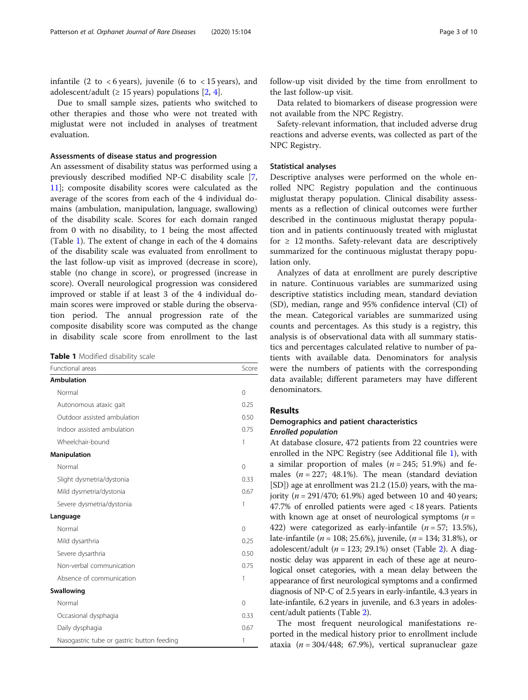infantile (2 to  $<$  6 years), juvenile (6 to  $<$  15 years), and adolescent/adult ( $\geq$  15 years) populations [[2,](#page-9-0) [4\]](#page-9-0).

Due to small sample sizes, patients who switched to other therapies and those who were not treated with miglustat were not included in analyses of treatment evaluation.

#### Assessments of disease status and progression

An assessment of disability status was performed using a previously described modified NP-C disability scale [\[7](#page-9-0), [11\]](#page-9-0); composite disability scores were calculated as the average of the scores from each of the 4 individual domains (ambulation, manipulation, language, swallowing) of the disability scale. Scores for each domain ranged from 0 with no disability, to 1 being the most affected (Table 1). The extent of change in each of the 4 domains of the disability scale was evaluated from enrollment to the last follow-up visit as improved (decrease in score), stable (no change in score), or progressed (increase in score). Overall neurological progression was considered improved or stable if at least 3 of the 4 individual domain scores were improved or stable during the observation period. The annual progression rate of the composite disability score was computed as the change in disability scale score from enrollment to the last

Table 1 Modified disability scale

| Functional areas                           | Score    |
|--------------------------------------------|----------|
| <b>Ambulation</b>                          |          |
| Normal                                     | $\Omega$ |
| Autonomous ataxic gait                     | 0.25     |
| Outdoor assisted ambulation                | 0.50     |
| Indoor assisted ambulation                 | 0.75     |
| Wheelchair-bound                           | 1        |
| Manipulation                               |          |
| Normal                                     | $\Omega$ |
| Slight dysmetria/dystonia                  | 0.33     |
| Mild dysmetria/dystonia                    | 0.67     |
| Severe dysmetria/dystonia                  | 1        |
| Language                                   |          |
| Normal                                     | $\Omega$ |
| Mild dysarthria                            | 0.25     |
| Severe dysarthria                          | 0.50     |
| Non-verbal communication                   | 0.75     |
| Absence of communication                   | 1        |
| Swallowing                                 |          |
| Normal                                     | $\Omega$ |
| Occasional dysphagia                       | 0.33     |
| Daily dysphagia                            | 0.67     |
| Nasogastric tube or gastric button feeding | 1        |

follow-up visit divided by the time from enrollment to the last follow-up visit.

Data related to biomarkers of disease progression were not available from the NPC Registry.

Safety-relevant information, that included adverse drug reactions and adverse events, was collected as part of the NPC Registry.

#### Statistical analyses

Descriptive analyses were performed on the whole enrolled NPC Registry population and the continuous miglustat therapy population. Clinical disability assessments as a reflection of clinical outcomes were further described in the continuous miglustat therapy population and in patients continuously treated with miglustat for ≥ 12 months. Safety-relevant data are descriptively summarized for the continuous miglustat therapy population only.

Analyzes of data at enrollment are purely descriptive in nature. Continuous variables are summarized using descriptive statistics including mean, standard deviation (SD), median, range and 95% confidence interval (CI) of the mean. Categorical variables are summarized using counts and percentages. As this study is a registry, this analysis is of observational data with all summary statistics and percentages calculated relative to number of patients with available data. Denominators for analysis were the numbers of patients with the corresponding data available; different parameters may have different denominators.

# Results

# Demographics and patient characteristics Enrolled population

At database closure, 472 patients from 22 countries were enrolled in the NPC Registry (see Additional file [1](#page-8-0)), with a similar proportion of males ( $n = 245$ ; 51.9%) and females  $(n = 227; 48.1\%)$ . The mean (standard deviation [SD]) age at enrollment was 21.2 (15.0) years, with the majority ( $n = 291/470$ ; 61.9%) aged between 10 and 40 years; 47.7% of enrolled patients were aged < 18 years. Patients with known age at onset of neurological symptoms ( $n =$ 422) were categorized as early-infantile  $(n = 57; 13.5\%),$ late-infantile ( $n = 108$ ; 25.6%), juvenile, ( $n = 134$ ; 31.8%), or adolescent/adult ( $n = 123$ ; 29.1%) onset (Table [2\)](#page-3-0). A diagnostic delay was apparent in each of these age at neurological onset categories, with a mean delay between the appearance of first neurological symptoms and a confirmed diagnosis of NP-C of 2.5 years in early-infantile, 4.3 years in late-infantile, 6.2 years in juvenile, and 6.3 years in adolescent/adult patients (Table [2\)](#page-3-0).

The most frequent neurological manifestations reported in the medical history prior to enrollment include ataxia ( $n = 304/448$ ; 67.9%), vertical supranuclear gaze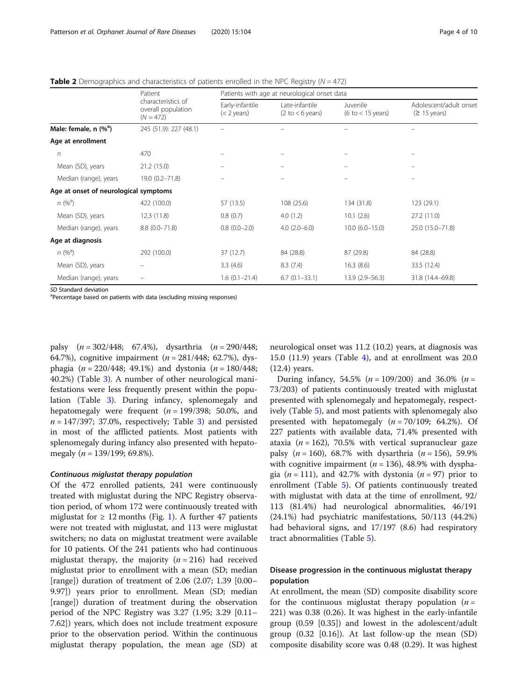<span id="page-3-0"></span>**Table 2** Demographics and characteristics of patients enrolled in the NPC Registry ( $N = 472$ )

|                                       | Patient<br>characteristics of<br>overall population<br>$(N = 472)$ | Patients with age at neurological onset data |                                                      |                                                 |                                                  |
|---------------------------------------|--------------------------------------------------------------------|----------------------------------------------|------------------------------------------------------|-------------------------------------------------|--------------------------------------------------|
|                                       |                                                                    | Early-infantile<br>$(< 2$ years)             | Late-infantile<br>$(2 \text{ to} < 6 \text{ years})$ | Juvenile<br>$(6 \text{ to} < 15 \text{ years})$ | Adolescent/adult onset<br>$(≥ 15 \text{ years})$ |
| Male: female, $n$ (% <sup>a</sup> )   | 245 (51.9): 227 (48.1)                                             |                                              |                                                      |                                                 |                                                  |
| Age at enrollment                     |                                                                    |                                              |                                                      |                                                 |                                                  |
| $\sqrt{n}$                            | 470                                                                |                                              |                                                      |                                                 |                                                  |
| Mean (SD), years                      | 21.2(15.0)                                                         |                                              |                                                      |                                                 |                                                  |
| Median (range), years                 | 19.0 (0.2-71.8)                                                    |                                              |                                                      |                                                 |                                                  |
| Age at onset of neurological symptoms |                                                                    |                                              |                                                      |                                                 |                                                  |
| $n (%^a)$                             | 422 (100.0)                                                        | 57 (13.5)                                    | 108 (25.6)                                           | 134 (31.8)                                      | 123(29.1)                                        |
| Mean (SD), years                      | 12.3 (11.8)                                                        | 0.8(0.7)                                     | 4.0(1.2)                                             | 10.1(2.6)                                       | 27.2(11.0)                                       |
| Median (range), years                 | $8.8(0.0 - 71.8)$                                                  | $0.8(0.0-2.0)$                               | $4.0(2.0-6.0)$                                       | $10.0 (6.0 - 15.0)$                             | 25.0 (15.0-71.8)                                 |
| Age at diagnosis                      |                                                                    |                                              |                                                      |                                                 |                                                  |
| $n (%^a)$                             | 292 (100.0)                                                        | 37 (12.7)                                    | 84 (28.8)                                            | 87 (29.8)                                       | 84 (28.8)                                        |
| Mean (SD), years                      |                                                                    | 3.3(4.6)                                     | 8.3(7.4)                                             | 16.3(8.6)                                       | 33.5 (12.4)                                      |
| Median (range), years                 |                                                                    | $1.6(0.1 - 21.4)$                            | $6.7(0.1 - 33.1)$                                    | 13.9 (2.9–56.3)                                 | 31.8 (14.4-69.8)                                 |

SD Standard deviation

<sup>a</sup>Percentage based on patients with data (excluding missing responses)

palsy  $(n = 302/448; 67.4%),$  dysarthria  $(n = 290/448;$ 64.7%), cognitive impairment  $(n = 281/448; 62.7%)$ , dysphagia ( $n = 220/448$ ; 49.1%) and dystonia ( $n = 180/448$ ; 40.2%) (Table [3\)](#page-4-0). A number of other neurological manifestations were less frequently present within the population (Table [3\)](#page-4-0). During infancy, splenomegaly and hepatomegaly were frequent  $(n = 199/398; 50.0\%$ , and  $n = 147/397$ ; 37.0%, respectively; Table [3\)](#page-4-0) and persisted in most of the afflicted patients. Most patients with splenomegaly during infancy also presented with hepatomegaly ( $n = 139/199$ ; 69.8%).

#### Continuous miglustat therapy population

Of the 472 enrolled patients, 241 were continuously treated with miglustat during the NPC Registry observation period, of whom 172 were continuously treated with miglustat for  $\geq 12$  $\geq 12$  $\geq 12$  months (Fig. 1). A further 47 patients were not treated with miglustat, and 113 were miglustat switchers; no data on miglustat treatment were available for 10 patients. Of the 241 patients who had continuous miglustat therapy, the majority ( $n = 216$ ) had received miglustat prior to enrollment with a mean (SD; median [range]) duration of treatment of 2.06 (2.07; 1.39 [0.00– 9.97]) years prior to enrollment. Mean (SD; median [range]) duration of treatment during the observation period of the NPC Registry was 3.27 (1.95; 3.29 [0.11– 7.62]) years, which does not include treatment exposure prior to the observation period. Within the continuous miglustat therapy population, the mean age (SD) at neurological onset was 11.2 (10.2) years, at diagnosis was 15.0 (11.9) years (Table [4](#page-5-0)), and at enrollment was 20.0 (12.4) years.

During infancy, 54.5% ( $n = 109/200$ ) and 36.0% ( $n =$ 73/203) of patients continuously treated with miglustat presented with splenomegaly and hepatomegaly, respectively (Table [5\)](#page-6-0), and most patients with splenomegaly also presented with hepatomegaly  $(n = 70/109; 64.2\%)$ . Of 227 patients with available data, 71.4% presented with ataxia ( $n = 162$ ), 70.5% with vertical supranuclear gaze palsy ( $n = 160$ ), 68.7% with dysarthria ( $n = 156$ ), 59.9% with cognitive impairment ( $n = 136$ ), 48.9% with dysphagia ( $n = 111$ ), and 42.7% with dystonia ( $n = 97$ ) prior to enrollment (Table [5](#page-6-0)). Of patients continuously treated with miglustat with data at the time of enrollment, 92/ 113 (81.4%) had neurological abnormalities, 46/191 (24.1%) had psychiatric manifestations, 50/113 (44.2%) had behavioral signs, and 17/197 (8.6) had respiratory tract abnormalities (Table [5\)](#page-6-0).

# Disease progression in the continuous miglustat therapy population

At enrollment, the mean (SD) composite disability score for the continuous miglustat therapy population  $(n =$ 221) was 0.38 (0.26). It was highest in the early-infantile group (0.59 [0.35]) and lowest in the adolescent/adult group  $(0.32 \, [0.16])$ . At last follow-up the mean  $(SD)$ composite disability score was 0.48 (0.29). It was highest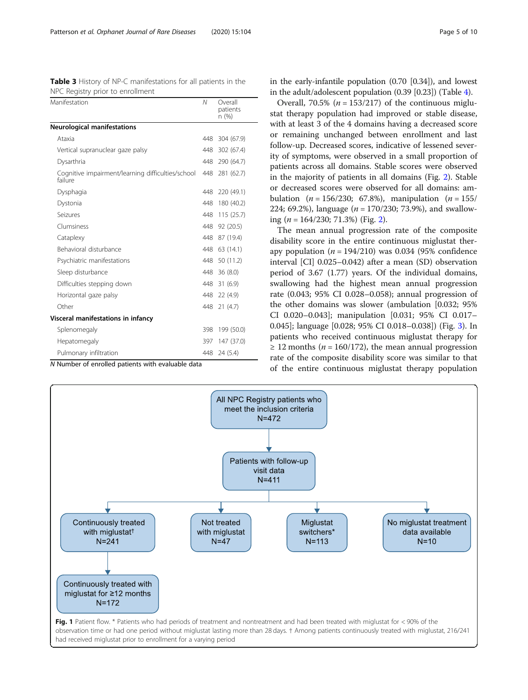<span id="page-4-0"></span>Table 3 History of NP-C manifestations for all patients in the NPC Registry prior to enrollment

| Manifestation                                                | Ν   | Overall<br>patients<br>n (%) |
|--------------------------------------------------------------|-----|------------------------------|
| <b>Neurological manifestations</b>                           |     |                              |
| Ataxia                                                       | 448 | 304 (67.9)                   |
| Vertical supranuclear gaze palsy                             | 448 | 302 (67.4)                   |
| Dysarthria                                                   | 448 | 290 (64.7)                   |
| Cognitive impairment/learning difficulties/school<br>failure | 448 | 281 (62.7)                   |
| Dysphagia                                                    | 448 | 220 (49.1)                   |
| Dystonia                                                     | 448 | 180 (40.2)                   |
| Seizures                                                     | 448 | 115(25.7)                    |
| Clumsiness                                                   | 448 | 92 (20.5)                    |
| Cataplexy                                                    | 448 | 87 (19.4)                    |
| Behavioral disturbance                                       | 448 | 63 (14.1)                    |
| Psychiatric manifestations                                   | 448 | 50 (11.2)                    |
| Sleep disturbance                                            | 448 | 36(8.0)                      |
| Difficulties stepping down                                   | 448 | 31(6.9)                      |
| Horizontal gaze palsy                                        | 448 | 22(4.9)                      |
| Other                                                        | 448 | 21(4.7)                      |
| Visceral manifestations in infancy                           |     |                              |
| Splenomegaly                                                 | 398 | 199 (50.0)                   |
| Hepatomegaly                                                 | 397 | 147 (37.0)                   |
| Pulmonary infiltration                                       | 448 | 24 (5.4)                     |

N Number of enrolled patients with evaluable data

in the early-infantile population (0.70 [0.34]), and lowest in the adult/adolescent population (0.39 [0.23]) (Table [4](#page-5-0)).

Overall, 70.5% ( $n = 153/217$ ) of the continuous miglustat therapy population had improved or stable disease, with at least 3 of the 4 domains having a decreased score or remaining unchanged between enrollment and last follow-up. Decreased scores, indicative of lessened severity of symptoms, were observed in a small proportion of patients across all domains. Stable scores were observed in the majority of patients in all domains (Fig. [2](#page-7-0)). Stable or decreased scores were observed for all domains: ambulation ( $n = 156/230$ ; 67.8%), manipulation ( $n = 155/$ 224; 69.2%), language  $(n = 170/230; 73.9%)$ , and swallowing ( $n = 164/230$ ; 71.3%) (Fig. [2\)](#page-7-0).

The mean annual progression rate of the composite disability score in the entire continuous miglustat therapy population  $(n = 194/210)$  was 0.034 (95% confidence interval [CI] 0.025–0.042) after a mean (SD) observation period of 3.67 (1.77) years. Of the individual domains, swallowing had the highest mean annual progression rate (0.043; 95% CI 0.028–0.058); annual progression of the other domains was slower (ambulation [0.032; 95% CI 0.020–0.043]; manipulation [0.031; 95% CI 0.017– 0.045]; language [0.028; 95% CI 0.018–0.038]) (Fig. [3](#page-7-0)). In patients who received continuous miglustat therapy for  $\geq$  12 months (*n* = 160/172), the mean annual progression rate of the composite disability score was similar to that of the entire continuous miglustat therapy population

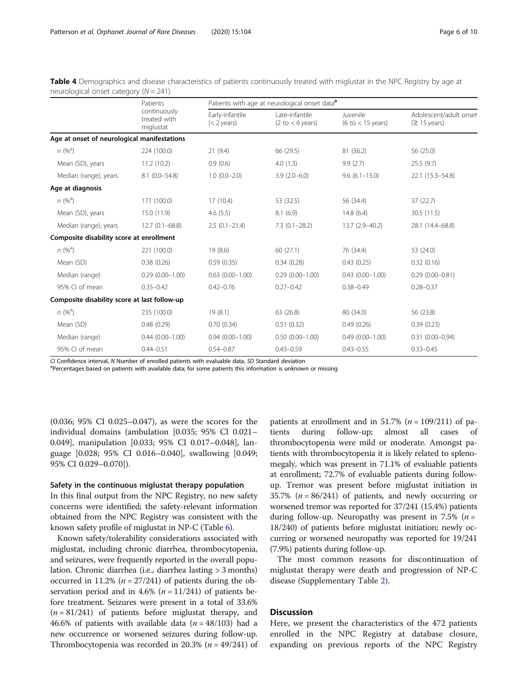|                                              | Patients<br>continuously<br>treated with<br>miglustat | Patients with age at neurological onset data <sup>a</sup> |                                                       |                                 |                                                  |
|----------------------------------------------|-------------------------------------------------------|-----------------------------------------------------------|-------------------------------------------------------|---------------------------------|--------------------------------------------------|
|                                              |                                                       | Early-infantile<br>$(< 2$ years)                          | Late-infantile<br>$(2 \text{ to } < 6 \text{ years})$ | Juvenile<br>(6 to $<$ 15 years) | Adolescent/adult onset<br>$(≥ 15 \text{ years})$ |
| Age at onset of neurological manifestations  |                                                       |                                                           |                                                       |                                 |                                                  |
| $n (%^a)$                                    | 224 (100.0)                                           | 21(9.4)                                                   | 66 (29.5)                                             | 81 (36.2)                       | 56 (25.0)                                        |
| Mean (SD), years                             | 11.2(10.2)                                            | 0.9(0.6)                                                  | 4.0(1.3)                                              | 9.9(2.7)                        | 25.5(9.7)                                        |
| Median (range), years                        | $8.1(0.0 - 54.8)$                                     | $1.0(0.0-2.0)$                                            | $3.9(2.0-6.0)$                                        | $9.6(6.1 - 15.0)$               | 22.1 (15.3-54.8)                                 |
| Age at diagnosis                             |                                                       |                                                           |                                                       |                                 |                                                  |
| $n (%^a)$                                    | 171 (100.0)                                           | 17(10.4)                                                  | 53 (32.5)                                             | 56 (34.4)                       | 37(22.7)                                         |
| Mean (SD), years                             | 15.0(11.9)                                            | 4.6(5.5)                                                  | 8.1(6.9)                                              | 14.8(6.4)                       | 30.5 (11.5)                                      |
| Median (range), years                        | $12.7(0.1 - 68.8)$                                    | $2.5(0.1 - 21.4)$                                         | $7.3(0.1 - 28.2)$                                     | 13.7 (2.9-40.2)                 | 28.1 (14.4-68.8)                                 |
| Composite disability score at enrollment     |                                                       |                                                           |                                                       |                                 |                                                  |
| $n (%^a)$                                    | 221 (100.0)                                           | 19(8.6)                                                   | 60(27.1)                                              | 76 (34.4)                       | 53 (24.0)                                        |
| Mean (SD)                                    | 0.38(0.26)                                            | 0.59(0.35)                                                | 0.34(0.28)                                            | 0.43(0.25)                      | 0.32(0.16)                                       |
| Median (range)                               | $0.29(0.00 - 1.00)$                                   | $0.63(0.00 - 1.00)$                                       | $0.29(0.00 - 1.00)$                                   | $0.43(0.00 - 1.00)$             | $0.29(0.00 - 0.81)$                              |
| 95% CI of mean                               | $0.35 - 0.42$                                         | $0.42 - 0.76$                                             | $0.27 - 0.42$                                         | $0.38 - 0.49$                   | $0.28 - 0.37$                                    |
| Composite disability score at last follow-up |                                                       |                                                           |                                                       |                                 |                                                  |
| $n (%^a)$                                    | 235 (100.0)                                           | 19(8.1)                                                   | 63(26.8)                                              | 80 (34.0)                       | 56 (23.8)                                        |
| Mean (SD)                                    | 0.48(0.29)                                            | 0.70(0.34)                                                | 0.51(0.32)                                            | 0.49(0.26)                      | 0.39(0.23)                                       |
| Median (range)                               | $0.44(0.00 - 1.00)$                                   | $0.94(0.00 - 1.00)$                                       | $0.50(0.00 - 1.00)$                                   | $0.49(0.00 - 1.00)$             | $0.31(0.00 - 0.94)$                              |
| 95% CI of mean                               | $0.44 - 0.51$                                         | $0.54 - 0.87$                                             | $0.43 - 0.59$                                         | $0.43 - 0.55$                   | $0.33 - 0.45$                                    |

<span id="page-5-0"></span>Table 4 Demographics and disease characteristics of patients continuously treated with miglustat in the NPC Registry by age at neurological onset category  $(N = 241)$ 

CI Confidence interval, <sup>N</sup> Number of enrolled patients with evaluable data, SD Standard deviation <sup>a</sup>

<sup>a</sup>Percentages based on patients with available data; for some patients this information is unknown or missing

(0.036; 95% CI 0.025–0.047), as were the scores for the individual domains (ambulation [0.035; 95% CI 0.021– 0.049], manipulation [0.033; 95% CI 0.017–0.048], language [0.028; 95% CI 0.016–0.040], swallowing [0.049; 95% CI 0.029–0.070]).

# Safety in the continuous miglustat therapy population

In this final output from the NPC Registry, no new safety concerns were identified; the safety-relevant information obtained from the NPC Registry was consistent with the known safety profile of miglustat in NP-C (Table [6](#page-8-0)).

Known safety/tolerability considerations associated with miglustat, including chronic diarrhea, thrombocytopenia, and seizures, were frequently reported in the overall population. Chronic diarrhea (i.e., diarrhea lasting > 3 months) occurred in 11.2% ( $n = 27/241$ ) of patients during the observation period and in 4.6% ( $n = 11/241$ ) of patients before treatment. Seizures were present in a total of 33.6%  $(n = 81/241)$  of patients before miglustat therapy, and 46.6% of patients with available data  $(n = 48/103)$  had a new occurrence or worsened seizures during follow-up. Thrombocytopenia was recorded in 20.3% ( $n = 49/241$ ) of

patients at enrollment and in 51.7% ( $n = 109/211$ ) of patients during follow-up; almost all cases of  $follow-up;$ thrombocytopenia were mild or moderate. Amongst patients with thrombocytopenia it is likely related to splenomegaly, which was present in 71.1% of evaluable patients at enrollment; 72.7% of evaluable patients during followup. Tremor was present before miglustat initiation in 35.7% ( $n = 86/241$ ) of patients, and newly occurring or worsened tremor was reported for 37/241 (15.4%) patients during follow-up. Neuropathy was present in 7.5% ( $n =$ 18/240) of patients before miglustat initiation; newly occurring or worsened neuropathy was reported for 19/241 (7.9%) patients during follow-up.

The most common reasons for discontinuation of miglustat therapy were death and progression of NP-C disease (Supplementary Table [2](#page-8-0)).

# **Discussion**

Here, we present the characteristics of the 472 patients enrolled in the NPC Registry at database closure, expanding on previous reports of the NPC Registry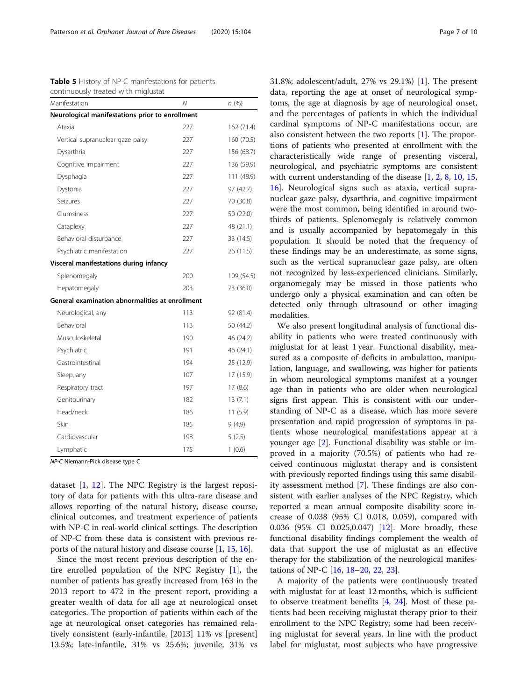<span id="page-6-0"></span>

| Table 5 History of NP-C manifestations for patients |  |
|-----------------------------------------------------|--|
| continuously treated with miglustat                 |  |

| Manifestation                                   | Ν   | n(%)       |
|-------------------------------------------------|-----|------------|
| Neurological manifestations prior to enrollment |     |            |
| Ataxia                                          | 227 | 162 (71.4) |
| Vertical supranuclear gaze palsy                | 227 | 160 (70.5) |
| Dysarthria                                      | 227 | 156 (68.7) |
| Cognitive impairment                            | 227 | 136 (59.9) |
| Dysphagia                                       | 227 | 111 (48.9) |
| Dystonia                                        | 227 | 97 (42.7)  |
| Seizures                                        | 227 | 70 (30.8)  |
| Clumsiness                                      | 227 | 50 (22.0)  |
| Cataplexy                                       | 227 | 48 (21.1)  |
| Behavioral disturbance                          | 227 | 33 (14.5)  |
| Psychiatric manifestation                       | 227 | 26 (11.5)  |
| Visceral manifestations during infancy          |     |            |
| Splenomegaly                                    | 200 | 109 (54.5) |
| Hepatomegaly                                    | 203 | 73 (36.0)  |
| General examination abnormalities at enrollment |     |            |
| Neurological, any                               | 113 | 92 (81.4)  |
| <b>Behavioral</b>                               | 113 | 50 (44.2)  |
| Musculoskeletal                                 | 190 | 46 (24.2)  |
| Psychiatric                                     | 191 | 46 (24.1)  |
| Gastrointestinal                                | 194 | 25 (12.9)  |
| Sleep, any                                      | 107 | 17 (15.9)  |
| Respiratory tract                               | 197 | 17(8.6)    |
| Genitourinary                                   | 182 | 13(7.1)    |
| Head/neck                                       | 186 | 11(5.9)    |
| Skin                                            | 185 | 9(4.9)     |
| Cardiovascular                                  | 198 | 5(2.5)     |
| Lymphatic                                       | 175 | 1(0.6)     |

NP-C Niemann-Pick disease type C

dataset [[1](#page-9-0), [12](#page-9-0)]. The NPC Registry is the largest repository of data for patients with this ultra-rare disease and allows reporting of the natural history, disease course, clinical outcomes, and treatment experience of patients with NP-C in real-world clinical settings. The description of NP-C from these data is consistent with previous reports of the natural history and disease course [\[1](#page-9-0), [15,](#page-9-0) [16\]](#page-9-0).

Since the most recent previous description of the entire enrolled population of the NPC Registry [\[1\]](#page-9-0), the number of patients has greatly increased from 163 in the 2013 report to 472 in the present report, providing a greater wealth of data for all age at neurological onset categories. The proportion of patients within each of the age at neurological onset categories has remained relatively consistent (early-infantile, [2013] 11% vs [present] 13.5%; late-infantile, 31% vs 25.6%; juvenile, 31% vs 31.8%; adolescent/adult, 27% vs 29.1%) [\[1](#page-9-0)]. The present data, reporting the age at onset of neurological symptoms, the age at diagnosis by age of neurological onset, and the percentages of patients in which the individual cardinal symptoms of NP-C manifestations occur, are also consistent between the two reports [\[1](#page-9-0)]. The proportions of patients who presented at enrollment with the characteristically wide range of presenting visceral, neurological, and psychiatric symptoms are consistent with current understanding of the disease [[1,](#page-9-0) [2,](#page-9-0) [8,](#page-9-0) [10,](#page-9-0) [15](#page-9-0), [16\]](#page-9-0). Neurological signs such as ataxia, vertical supranuclear gaze palsy, dysarthria, and cognitive impairment were the most common, being identified in around twothirds of patients. Splenomegaly is relatively common and is usually accompanied by hepatomegaly in this population. It should be noted that the frequency of these findings may be an underestimate, as some signs, such as the vertical supranuclear gaze palsy, are often not recognized by less-experienced clinicians. Similarly, organomegaly may be missed in those patients who undergo only a physical examination and can often be detected only through ultrasound or other imaging modalities.

We also present longitudinal analysis of functional disability in patients who were treated continuously with miglustat for at least 1 year. Functional disability, measured as a composite of deficits in ambulation, manipulation, language, and swallowing, was higher for patients in whom neurological symptoms manifest at a younger age than in patients who are older when neurological signs first appear. This is consistent with our understanding of NP-C as a disease, which has more severe presentation and rapid progression of symptoms in patients whose neurological manifestations appear at a younger age [[2](#page-9-0)]. Functional disability was stable or improved in a majority (70.5%) of patients who had received continuous miglustat therapy and is consistent with previously reported findings using this same disability assessment method [[7\]](#page-9-0). These findings are also consistent with earlier analyses of the NPC Registry, which reported a mean annual composite disability score increase of 0.038 (95% CI 0.018, 0.059), compared with 0.036 (95% CI 0.025,0.047) [[12\]](#page-9-0). More broadly, these functional disability findings complement the wealth of data that support the use of miglustat as an effective therapy for the stabilization of the neurological manifestations of NP-C [[16](#page-9-0), [18](#page-9-0)–[20,](#page-9-0) [22,](#page-9-0) [23\]](#page-9-0).

A majority of the patients were continuously treated with miglustat for at least 12 months, which is sufficient to observe treatment benefits [\[4,](#page-9-0) [24\]](#page-9-0). Most of these patients had been receiving miglustat therapy prior to their enrollment to the NPC Registry; some had been receiving miglustat for several years. In line with the product label for miglustat, most subjects who have progressive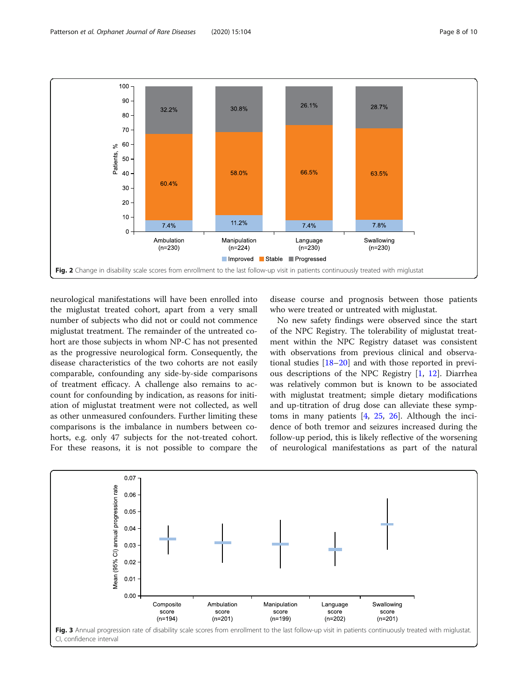<span id="page-7-0"></span>

neurological manifestations will have been enrolled into the miglustat treated cohort, apart from a very small number of subjects who did not or could not commence miglustat treatment. The remainder of the untreated cohort are those subjects in whom NP-C has not presented as the progressive neurological form. Consequently, the disease characteristics of the two cohorts are not easily comparable, confounding any side-by-side comparisons of treatment efficacy. A challenge also remains to account for confounding by indication, as reasons for initiation of miglustat treatment were not collected, as well as other unmeasured confounders. Further limiting these comparisons is the imbalance in numbers between cohorts, e.g. only 47 subjects for the not-treated cohort. For these reasons, it is not possible to compare the

disease course and prognosis between those patients who were treated or untreated with miglustat.

No new safety findings were observed since the start of the NPC Registry. The tolerability of miglustat treatment within the NPC Registry dataset was consistent with observations from previous clinical and observational studies [[18](#page-9-0)–[20](#page-9-0)] and with those reported in previous descriptions of the NPC Registry [[1,](#page-9-0) [12](#page-9-0)]. Diarrhea was relatively common but is known to be associated with miglustat treatment; simple dietary modifications and up-titration of drug dose can alleviate these symptoms in many patients  $[4, 25, 26]$  $[4, 25, 26]$  $[4, 25, 26]$  $[4, 25, 26]$  $[4, 25, 26]$ . Although the incidence of both tremor and seizures increased during the follow-up period, this is likely reflective of the worsening of neurological manifestations as part of the natural

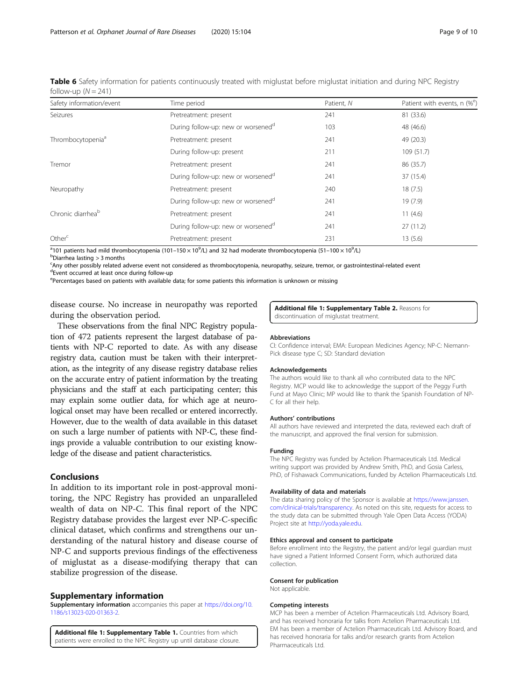<span id="page-8-0"></span>Table 6 Safety information for patients continuously treated with miglustat before miglustat initiation and during NPC Registry follow-up  $(N = 241)$ 

| Safety information/event      | Time period                                    | Patient, N | Patient with events, n (% <sup>e</sup> ) |
|-------------------------------|------------------------------------------------|------------|------------------------------------------|
| Seizures                      | Pretreatment: present                          | 241        | 81 (33.6)                                |
|                               | During follow-up: new or worsened <sup>d</sup> | 103        | 48 (46.6)                                |
| Thrombocytopenia <sup>a</sup> | Pretreatment: present                          | 241        | 49 (20.3)                                |
|                               | During follow-up: present                      | 211        | 109(51.7)                                |
| Tremor                        | Pretreatment: present                          | 241        | 86 (35.7)                                |
|                               | During follow-up: new or worsened <sup>a</sup> | 241        | 37 (15.4)                                |
| Neuropathy                    | Pretreatment: present                          | 240        | 18(7.5)                                  |
|                               | During follow-up: new or worsened <sup>a</sup> | 241        | 19(7.9)                                  |
| Chronic diarrhea <sup>b</sup> | Pretreatment: present                          | 241        | 11(4.6)                                  |
|                               | During follow-up: new or worsened <sup>d</sup> | 241        | 27(11.2)                                 |
| Other <sup>c</sup>            | Pretreatment: present                          | 231        | 13(5.6)                                  |

<sup>a</sup>101 patients had mild thrombocytopenia (101–150 × 10<sup>9</sup>/L) and 32 had moderate thrombocytopenia (51–100 × 10<sup>9</sup>/L)<br><sup>b</sup>Diarrhea Jasting > 3 months

 $b$ Diarrhea lasting  $>$  3 months

c Any other possibly related adverse event not considered as thrombocytopenia, neuropathy, seizure, tremor, or gastrointestinal-related event

d Event occurred at least once during follow-up

<sup>e</sup>Percentages based on patients with available data; for some patients this information is unknown or missing

disease course. No increase in neuropathy was reported during the observation period.

These observations from the final NPC Registry population of 472 patients represent the largest database of patients with NP-C reported to date. As with any disease registry data, caution must be taken with their interpretation, as the integrity of any disease registry database relies on the accurate entry of patient information by the treating physicians and the staff at each participating center; this may explain some outlier data, for which age at neurological onset may have been recalled or entered incorrectly. However, due to the wealth of data available in this dataset on such a large number of patients with NP-C, these findings provide a valuable contribution to our existing knowledge of the disease and patient characteristics.

# Conclusions

In addition to its important role in post-approval monitoring, the NPC Registry has provided an unparalleled wealth of data on NP-C. This final report of the NPC Registry database provides the largest ever NP-C-specific clinical dataset, which confirms and strengthens our understanding of the natural history and disease course of NP-C and supports previous findings of the effectiveness of miglustat as a disease-modifying therapy that can stabilize progression of the disease.

#### Supplementary information

Supplementary information accompanies this paper at [https://doi.org/10.](https://doi.org/10.1186/s13023-020-01363-2) [1186/s13023-020-01363-2](https://doi.org/10.1186/s13023-020-01363-2).

Additional file 1: Supplementary Table 1. Countries from which patients were enrolled to the NPC Registry up until database closure. Additional file 1: Supplementary Table 2. Reasons for discontinuation of miglustat treatment.

#### **Abbreviations**

CI: Confidence interval; EMA: European Medicines Agency; NP-C: Niemann-Pick disease type C; SD: Standard deviation

#### Acknowledgements

The authors would like to thank all who contributed data to the NPC Registry. MCP would like to acknowledge the support of the Peggy Furth Fund at Mayo Clinic; MP would like to thank the Spanish Foundation of NP-C for all their help.

#### Authors' contributions

All authors have reviewed and interpreted the data, reviewed each draft of the manuscript, and approved the final version for submission.

#### Funding

The NPC Registry was funded by Actelion Pharmaceuticals Ltd. Medical writing support was provided by Andrew Smith, PhD, and Gosia Carless, PhD, of Fishawack Communications, funded by Actelion Pharmaceuticals Ltd.

#### Availability of data and materials

The data sharing policy of the Sponsor is available at [https://www.janssen.](https://www.janssen.com/clinical-trials/transparency) [com/clinical-trials/transparency.](https://www.janssen.com/clinical-trials/transparency) As noted on this site, requests for access to the study data can be submitted through Yale Open Data Access (YODA) Project site at [http://yoda.yale.edu.](http://yoda.yale.edu)

#### Ethics approval and consent to participate

Before enrollment into the Registry, the patient and/or legal guardian must have signed a Patient Informed Consent Form, which authorized data collection.

#### Consent for publication

Not applicable.

#### Competing interests

MCP has been a member of Actelion Pharmaceuticals Ltd. Advisory Board, and has received honoraria for talks from Actelion Pharmaceuticals Ltd. EM has been a member of Actelion Pharmaceuticals Ltd. Advisory Board, and has received honoraria for talks and/or research grants from Actelion Pharmaceuticals Ltd.